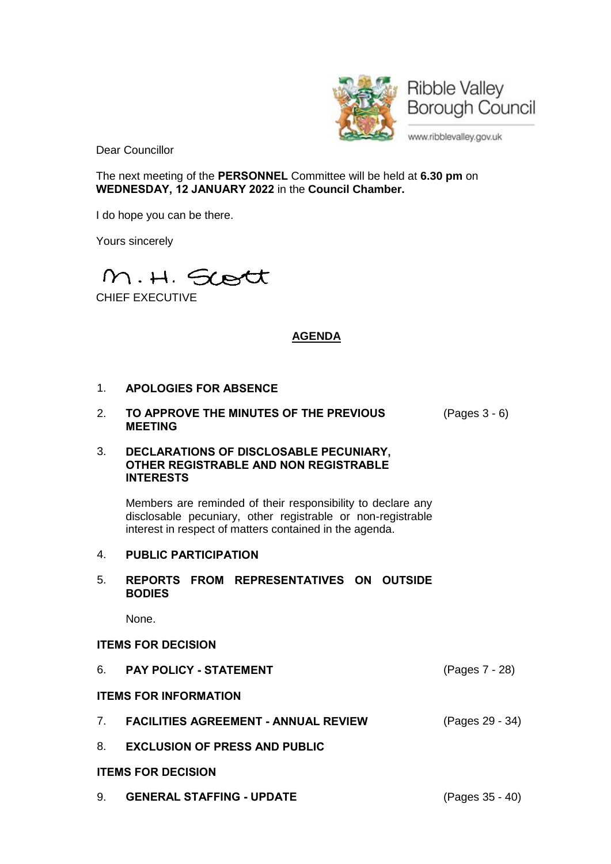

Dear Councillor

The next meeting of the **PERSONNEL** Committee will be held at **6.30 pm** on **WEDNESDAY, 12 JANUARY 2022** in the **Council Chamber.**

I do hope you can be there.

Yours sincerely



# **AGENDA**

# 1. **APOLOGIES FOR ABSENCE**

2. **TO APPROVE THE MINUTES OF THE PREVIOUS MEETING** (Pages 3 - 6)

#### 3. **DECLARATIONS OF DISCLOSABLE PECUNIARY, OTHER REGISTRABLE AND NON REGISTRABLE INTERESTS**

Members are reminded of their responsibility to declare any disclosable pecuniary, other registrable or non-registrable interest in respect of matters contained in the agenda.

# 4. **PUBLIC PARTICIPATION**

#### 5. **REPORTS FROM REPRESENTATIVES ON OUTSIDE BODIES**

None.

# **ITEMS FOR DECISION**

|                              | 6. PAY POLICY - STATEMENT               | (Pages 7 - 28)  |
|------------------------------|-----------------------------------------|-----------------|
| <b>ITEMS FOR INFORMATION</b> |                                         |                 |
|                              | 7. FACILITIES AGREEMENT - ANNUAL REVIEW | (Pages 29 - 34) |

8. **EXCLUSION OF PRESS AND PUBLIC**

# **ITEMS FOR DECISION**

9. **GENERAL STAFFING - UPDATE** (Pages 35 - 40)